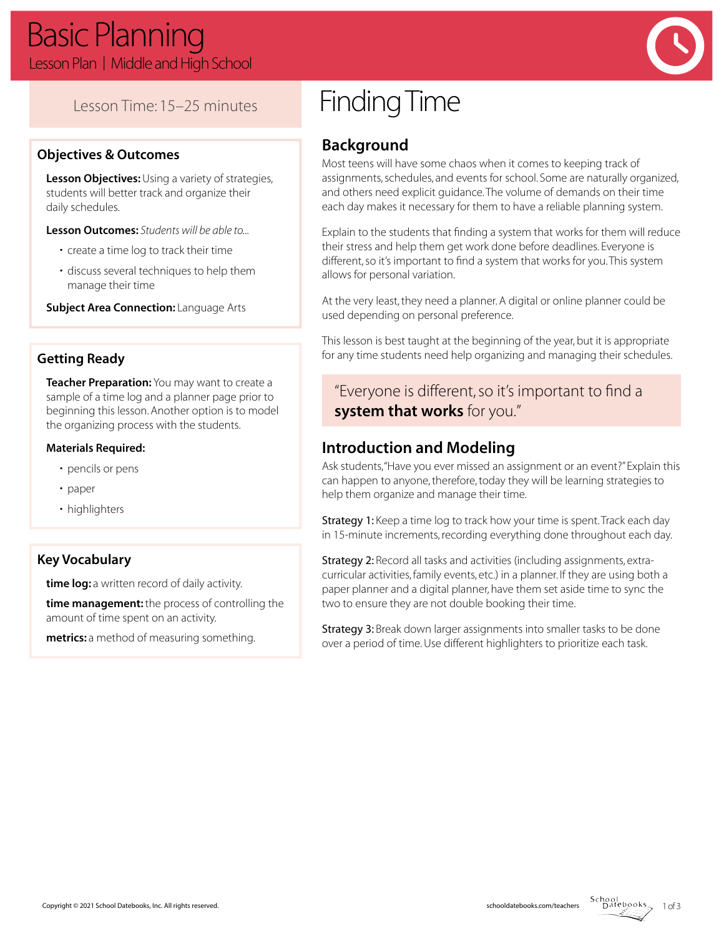

## Lesson Time: 15–25 minutes

#### **Objectives & Outcomes**

**Lesson Objectives:** Using a variety of strategies, students will better track and organize their daily schedules.

**Lesson Outcomes:** *Students will be able to...*

- create a time log to track their time
- discuss several techniques to help them manage their time

**Subject Area Connection:** Language Arts

#### **Getting Ready**

**Teacher Preparation:** You may want to create a sample of a time log and a planner page prior to beginning this lesson. Another option is to model the organizing process with the students.

#### **Materials Required:**

- pencils or pens
- paper
- highlighters

#### **Key Vocabulary**

**time log:** a written record of daily activity.

**time management:** the process of controlling the amount of time spent on an activity.

**metrics:** a method of measuring something.

# Finding Time

## **Background**

Most teens will have some chaos when it comes to keeping track of assignments, schedules, and events for school. Some are naturally organized, and others need explicit guidance. The volume of demands on their time each day makes it necessary for them to have a reliable planning system.

Explain to the students that finding a system that works for them will reduce their stress and help them get work done before deadlines. Everyone is different, so it's important to find a system that works for you. This system allows for personal variation.

At the very least, they need a planner. A digital or online planner could be used depending on personal preference.

This lesson is best taught at the beginning of the year, but it is appropriate for any time students need help organizing and managing their schedules.

"Everyone is different, so it's important to find a **system that works** for you."

## **Introduction and Modeling**

Ask students, "Have you ever missed an assignment or an event?" Explain this can happen to anyone, therefore, today they will be learning strategies to help them organize and manage their time.

Strategy 1: Keep a time log to track how your time is spent. Track each day in 15-minute increments, recording everything done throughout each day.

Strategy 2: Record all tasks and activities (including assignments, extracurricular activities, family events, etc.) in a planner. If they are using both a paper planner and a digital planner, have them set aside time to sync the two to ensure they are not double booking their time.

Strategy 3: Break down larger assignments into smaller tasks to be done over a period of time. Use different highlighters to prioritize each task.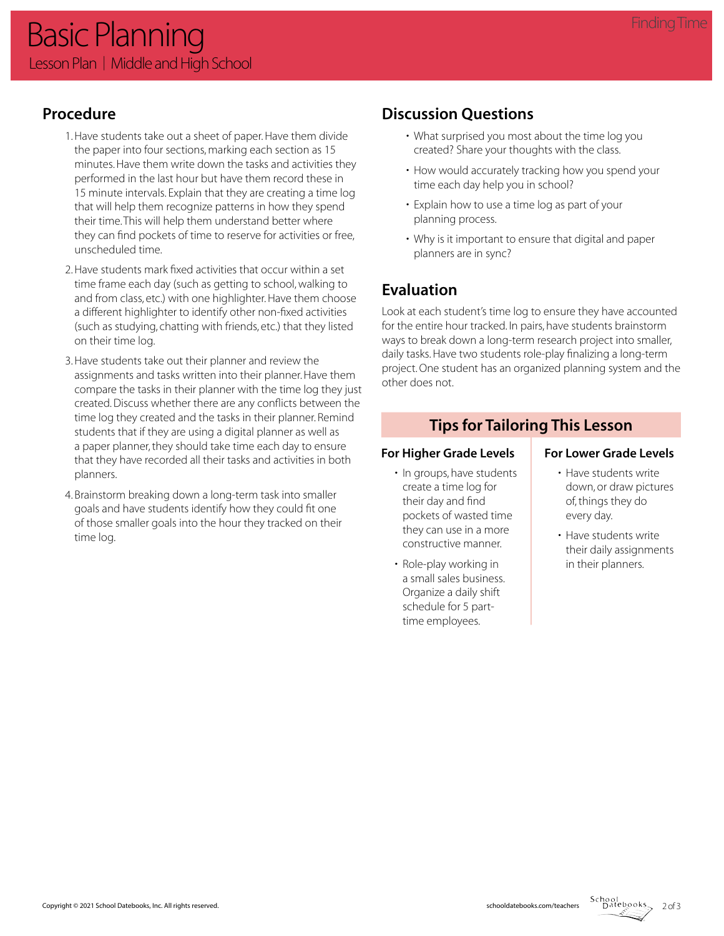## **Procedure**

- 1. Have students take out a sheet of paper. Have them divide the paper into four sections, marking each section as 15 minutes. Have them write down the tasks and activities they performed in the last hour but have them record these in 15 minute intervals. Explain that they are creating a time log that will help them recognize patterns in how they spend their time. This will help them understand better where they can find pockets of time to reserve for activities or free, unscheduled time.
- 2. Have students mark fixed activities that occur within a set time frame each day (such as getting to school, walking to and from class, etc.) with one highlighter. Have them choose a different highlighter to identify other non-fixed activities (such as studying, chatting with friends, etc.) that they listed on their time log.
- 3. Have students take out their planner and review the assignments and tasks written into their planner. Have them compare the tasks in their planner with the time log they just created. Discuss whether there are any conflicts between the time log they created and the tasks in their planner. Remind students that if they are using a digital planner as well as a paper planner, they should take time each day to ensure that they have recorded all their tasks and activities in both planners.
- 4. Brainstorm breaking down a long-term task into smaller goals and have students identify how they could fit one of those smaller goals into the hour they tracked on their time log.

## **Discussion Questions**

- What surprised you most about the time log you created? Share your thoughts with the class.
- How would accurately tracking how you spend your time each day help you in school?
- Explain how to use a time log as part of your planning process.
- Why is it important to ensure that digital and paper planners are in sync?

## **Evaluation**

Look at each student's time log to ensure they have accounted for the entire hour tracked. In pairs, have students brainstorm ways to break down a long-term research project into smaller, daily tasks. Have two students role-play finalizing a long-term project. One student has an organized planning system and the other does not.

## **Tips for Tailoring This Lesson**

- In groups, have students create a time log for their day and find pockets of wasted time they can use in a more constructive manner.
- Role-play working in a small sales business. Organize a daily shift schedule for 5 parttime employees.

#### For Higher Grade Levels | For Lower Grade Levels

- Have students write down, or draw pictures of, things they do every day.
- Have students write their daily assignments in their planners.